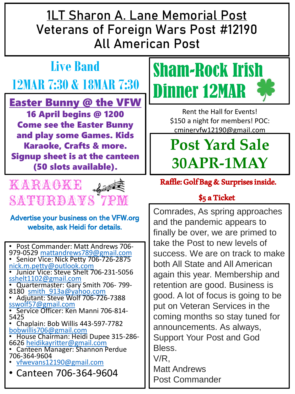**1LT Sharon A. Lane Memorial Post Veterans of Foreign Wars Post #12190 All American Post**

## **Live Band 12MAR 7:30 & 18MAR 7:30**

Easter Bunny @ the VFW 16 April begins @ 1200 Come see the Easter Bunny and play some Games. Kids Karaoke, Crafts & more. Signup sheet is at the canteen (50 slots available).



#### Advertise your business on the VFW.org website, ask Heidi for details.

• Post Commander: Matt Andrews 706- 979-0529 [mattandrews789@gmail.com](mailto:mattandrews789@gmail.com) • Senior Vice: Nick Petty 706-726-2875 [nick.m.petty@outlook.com](mailto:nick.m.petty@outlook.com) • Junior Vice: Steve Shelt 706-231-5056 [sshelt1102@gmail.com](mailto:sshelt1102@gmail.com) • Quartermaster: Gary Smith 706- 799- 8180 smith 913a@yahoo.com • Adjutant: Steve Wolf 706-726-7388 [sswolf57@gmail.com](mailto:sswolf57@gmail.com) • Service Officer: Ken Manni 706-814-5425 • Chaplain: Bob Willis 443-597-7782 [bobwillis706@gmail.com](mailto:bobwillis706@gmail.com) • House Chairman: Heidi Dupee 315-286- 6626 [heidikayritter@gmail.com](mailto:heidikayritter@gmail.com) • Canteen Manager: Shannon Perdue 706-364-9604 • [vfwevans12190@gmail.com](mailto:vfwevans12190@gmail.com) • Canteen 706-364-9604



Rent the Hall for Events! \$150 a night for members! POC: cminervfw12190@gmail.com

## **Post Yard Sale 30APR-1MAY**

Raffle: Golf Bag & Surprises inside.

#### \$5 a Ticket

Comrades, As spring approaches and the pandemic appears to finally be over, we are primed to take the Post to new levels of success. We are on track to make both All State and All American again this year. Membership and retention are good. Business is good. A lot of focus is going to be put on Veteran Services in the coming months so stay tuned for announcements. As always, Support Your Post and God Bless. V/R, Matt Andrews Post Commander